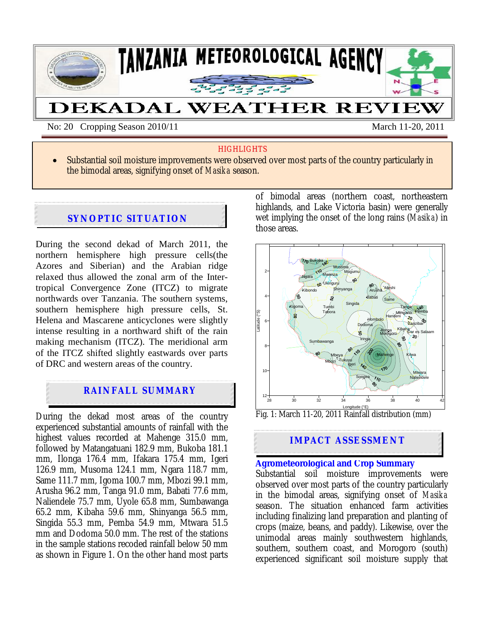

No: 20 Cropping Season 2010/11 March 11-20, 2011

#### **HIGHLIGHTS**

• Substantial soil moisture improvements were observed over most parts of the country particularly in the bimodal areas, signifying onset of *Masika* season.

## **SYNOPTIC SITUATION**

During the second dekad of March 2011, the northern hemisphere high pressure cells(the Azores and Siberian) and the Arabian ridge relaxed thus allowed the zonal arm of the Intertropical Convergence Zone (ITCZ) to migrate northwards over Tanzania. The southern systems, southern hemisphere high pressure cells, St. Helena and Mascarene anticyclones were slightly intense resulting in a northward shift of the rain making mechanism (ITCZ). The meridional arm of the ITCZ shifted slightly eastwards over parts of DRC and western areas of the country.

# **RAINFALL SUMMARY**

During the dekad most areas of the country experienced substantial amounts of rainfall with the highest values recorded at Mahenge 315.0 mm, followed by Matangatuani 182.9 mm, Bukoba 181.1 mm, Ilonga 176.4 mm, Ifakara 175.4 mm, Igeri 126.9 mm, Musoma 124.1 mm, Ngara 118.7 mm, Same 111.7 mm, Igoma 100.7 mm, Mbozi 99.1 mm, Arusha 96.2 mm, Tanga 91.0 mm, Babati 77.6 mm, Naliendele 75.7 mm, Uyole 65.8 mm, Sumbawanga 65.2 mm, Kibaha 59.6 mm, Shinyanga 56.5 mm, Singida 55.3 mm, Pemba 54.9 mm, Mtwara 51.5 mm and Dodoma 50.0 mm. The rest of the stations in the sample stations recoded rainfall below 50 mm as shown in Figure 1. On the other hand most parts

of bimodal areas (northern coast, northeastern highlands, and Lake Victoria basin) were generally wet implying the onset of the long rains (*Masika*) in those areas.



# **IMPACT ASSESSMENT**

## **Agrometeorological and Crop Summary**

Substantial soil moisture improvements were observed over most parts of the country particularly in the bimodal areas, signifying onset of *Masika* season. The situation enhanced farm activities including finalizing land preparation and planting of crops (maize, beans, and paddy). Likewise, over the unimodal areas mainly southwestern highlands, southern, southern coast, and Morogoro (south) experienced significant soil moisture supply that